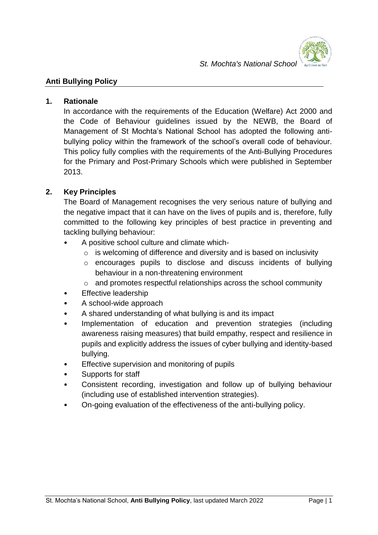

#### **1. Rationale**

In accordance with the requirements of the Education (Welfare) Act 2000 and the Code of Behaviour guidelines issued by the NEWB, the Board of Management of St Mochta's National School has adopted the following antibullying policy within the framework of the school's overall code of behaviour. This policy fully complies with the requirements of the Anti-Bullying Procedures for the Primary and Post-Primary Schools which were published in September 2013.

# **2. Key Principles**

The Board of Management recognises the very serious nature of bullying and the negative impact that it can have on the lives of pupils and is, therefore, fully committed to the following key principles of best practice in preventing and tackling bullying behaviour:

- A positive school culture and climate which-
	- $\circ$  is welcoming of difference and diversity and is based on inclusivity
	- o encourages pupils to disclose and discuss incidents of bullying behaviour in a non-threatening environment
	- o and promotes respectful relationships across the school community
- **Effective leadership**
- A school-wide approach
- A shared understanding of what bullying is and its impact
- Implementation of education and prevention strategies (including awareness raising measures) that build empathy, respect and resilience in pupils and explicitly address the issues of cyber bullying and identity-based bullying.
- Effective supervision and monitoring of pupils
- Supports for staff
- Consistent recording, investigation and follow up of bullying behaviour (including use of established intervention strategies).
- On-going evaluation of the effectiveness of the anti-bullying policy.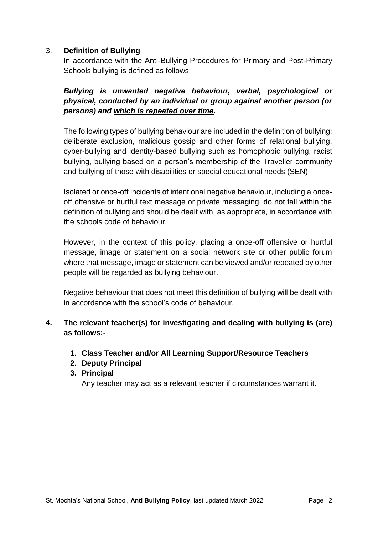### 3. **Definition of Bullying**

In accordance with the Anti-Bullying Procedures for Primary and Post-Primary Schools bullying is defined as follows:

# *Bullying is unwanted negative behaviour, verbal, psychological or physical, conducted by an individual or group against another person (or persons) and which is repeated over time.*

The following types of bullying behaviour are included in the definition of bullying: deliberate exclusion, malicious gossip and other forms of relational bullying, cyber-bullying and identity-based bullying such as homophobic bullying, racist bullying, bullying based on a person's membership of the Traveller community and bullying of those with disabilities or special educational needs (SEN).

Isolated or once-off incidents of intentional negative behaviour, including a onceoff offensive or hurtful text message or private messaging, do not fall within the definition of bullying and should be dealt with, as appropriate, in accordance with the schools code of behaviour.

However, in the context of this policy, placing a once-off offensive or hurtful message, image or statement on a social network site or other public forum where that message, image or statement can be viewed and/or repeated by other people will be regarded as bullying behaviour.

Negative behaviour that does not meet this definition of bullying will be dealt with in accordance with the school's code of behaviour.

# **4. The relevant teacher(s) for investigating and dealing with bullying is (are) as follows:-**

- **1. Class Teacher and/or All Learning Support/Resource Teachers**
- **2. Deputy Principal**
- **3. Principal**

Any teacher may act as a relevant teacher if circumstances warrant it.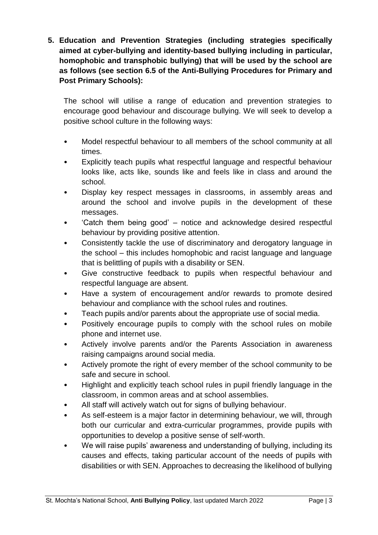**5. Education and Prevention Strategies (including strategies specifically aimed at cyber-bullying and identity-based bullying including in particular, homophobic and transphobic bullying) that will be used by the school are as follows (see section 6.5 of the Anti-Bullying Procedures for Primary and Post Primary Schools):**

The school will utilise a range of education and prevention strategies to encourage good behaviour and discourage bullying. We will seek to develop a positive school culture in the following ways:

- Model respectful behaviour to all members of the school community at all times.
- Explicitly teach pupils what respectful language and respectful behaviour looks like, acts like, sounds like and feels like in class and around the school.
- Display key respect messages in classrooms, in assembly areas and around the school and involve pupils in the development of these messages.
- 'Catch them being good' notice and acknowledge desired respectful behaviour by providing positive attention.
- Consistently tackle the use of discriminatory and derogatory language in the school – this includes homophobic and racist language and language that is belittling of pupils with a disability or SEN.
- Give constructive feedback to pupils when respectful behaviour and respectful language are absent.
- Have a system of encouragement and/or rewards to promote desired behaviour and compliance with the school rules and routines.
- Teach pupils and/or parents about the appropriate use of social media.
- Positively encourage pupils to comply with the school rules on mobile phone and internet use.
- Actively involve parents and/or the Parents Association in awareness raising campaigns around social media.
- Actively promote the right of every member of the school community to be safe and secure in school.
- Highlight and explicitly teach school rules in pupil friendly language in the classroom, in common areas and at school assemblies.
- All staff will actively watch out for signs of bullying behaviour.
- As self-esteem is a major factor in determining behaviour, we will, through both our curricular and extra-curricular programmes, provide pupils with opportunities to develop a positive sense of self-worth.
- We will raise pupils' awareness and understanding of bullying, including its causes and effects, taking particular account of the needs of pupils with disabilities or with SEN. Approaches to decreasing the likelihood of bullying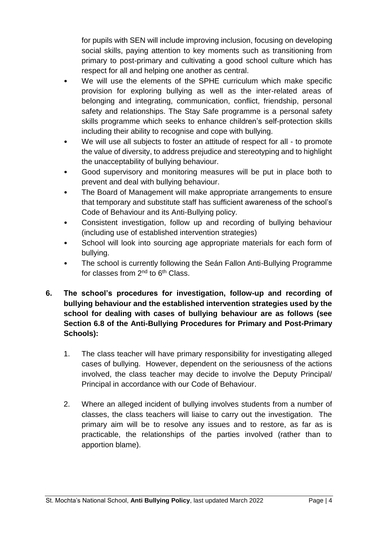for pupils with SEN will include improving inclusion, focusing on developing social skills, paying attention to key moments such as transitioning from primary to post-primary and cultivating a good school culture which has respect for all and helping one another as central.

- We will use the elements of the SPHE curriculum which make specific provision for exploring bullying as well as the inter-related areas of belonging and integrating, communication, conflict, friendship, personal safety and relationships. The Stay Safe programme is a personal safety skills programme which seeks to enhance children's self-protection skills including their ability to recognise and cope with bullying.
- We will use all subjects to foster an attitude of respect for all to promote the value of diversity, to address prejudice and stereotyping and to highlight the unacceptability of bullying behaviour.
- Good supervisory and monitoring measures will be put in place both to prevent and deal with bullying behaviour.
- The Board of Management will make appropriate arrangements to ensure that temporary and substitute staff has sufficient awareness of the school's Code of Behaviour and its Anti-Bullying policy.
- Consistent investigation, follow up and recording of bullying behaviour (including use of established intervention strategies)
- School will look into sourcing age appropriate materials for each form of bullying.
- The school is currently following the Seán Fallon Anti-Bullying Programme for classes from 2nd to 6th Class.
- **6. The school's procedures for investigation, follow-up and recording of bullying behaviour and the established intervention strategies used by the school for dealing with cases of bullying behaviour are as follows (see Section 6.8 of the Anti-Bullying Procedures for Primary and Post-Primary Schools):**
	- 1. The class teacher will have primary responsibility for investigating alleged cases of bullying. However, dependent on the seriousness of the actions involved, the class teacher may decide to involve the Deputy Principal/ Principal in accordance with our Code of Behaviour.
	- 2. Where an alleged incident of bullying involves students from a number of classes, the class teachers will liaise to carry out the investigation. The primary aim will be to resolve any issues and to restore, as far as is practicable, the relationships of the parties involved (rather than to apportion blame).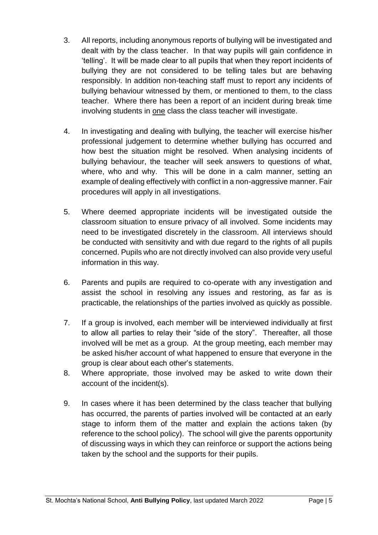- 3. All reports, including anonymous reports of bullying will be investigated and dealt with by the class teacher. In that way pupils will gain confidence in 'telling'. It will be made clear to all pupils that when they report incidents of bullying they are not considered to be telling tales but are behaving responsibly. In addition non-teaching staff must to report any incidents of bullying behaviour witnessed by them, or mentioned to them, to the class teacher. Where there has been a report of an incident during break time involving students in one class the class teacher will investigate.
- 4. In investigating and dealing with bullying, the teacher will exercise his/her professional judgement to determine whether bullying has occurred and how best the situation might be resolved. When analysing incidents of bullying behaviour, the teacher will seek answers to questions of what, where, who and why. This will be done in a calm manner, setting an example of dealing effectively with conflict in a non-aggressive manner. Fair procedures will apply in all investigations.
- 5. Where deemed appropriate incidents will be investigated outside the classroom situation to ensure privacy of all involved. Some incidents may need to be investigated discretely in the classroom. All interviews should be conducted with sensitivity and with due regard to the rights of all pupils concerned. Pupils who are not directly involved can also provide very useful information in this way.
- 6. Parents and pupils are required to co-operate with any investigation and assist the school in resolving any issues and restoring, as far as is practicable, the relationships of the parties involved as quickly as possible.
- 7. If a group is involved, each member will be interviewed individually at first to allow all parties to relay their "side of the story". Thereafter, all those involved will be met as a group. At the group meeting, each member may be asked his/her account of what happened to ensure that everyone in the group is clear about each other's statements.
- 8. Where appropriate, those involved may be asked to write down their account of the incident(s).
- 9. In cases where it has been determined by the class teacher that bullying has occurred, the parents of parties involved will be contacted at an early stage to inform them of the matter and explain the actions taken (by reference to the school policy). The school will give the parents opportunity of discussing ways in which they can reinforce or support the actions being taken by the school and the supports for their pupils.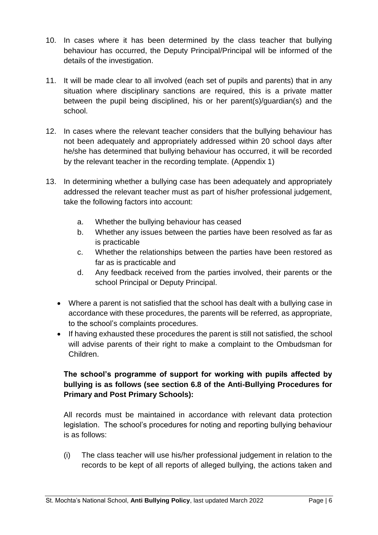- 10. In cases where it has been determined by the class teacher that bullying behaviour has occurred, the Deputy Principal/Principal will be informed of the details of the investigation.
- 11. It will be made clear to all involved (each set of pupils and parents) that in any situation where disciplinary sanctions are required, this is a private matter between the pupil being disciplined, his or her parent(s)/guardian(s) and the school.
- 12. In cases where the relevant teacher considers that the bullying behaviour has not been adequately and appropriately addressed within 20 school days after he/she has determined that bullying behaviour has occurred, it will be recorded by the relevant teacher in the recording template. (Appendix 1)
- 13. In determining whether a bullying case has been adequately and appropriately addressed the relevant teacher must as part of his/her professional judgement, take the following factors into account:
	- a. Whether the bullying behaviour has ceased
	- b. Whether any issues between the parties have been resolved as far as is practicable
	- c. Whether the relationships between the parties have been restored as far as is practicable and
	- d. Any feedback received from the parties involved, their parents or the school Principal or Deputy Principal.
	- Where a parent is not satisfied that the school has dealt with a bullying case in accordance with these procedures, the parents will be referred, as appropriate, to the school's complaints procedures.
	- If having exhausted these procedures the parent is still not satisfied, the school will advise parents of their right to make a complaint to the Ombudsman for Children.

# **The school's programme of support for working with pupils affected by bullying is as follows (see section 6.8 of the Anti-Bullying Procedures for Primary and Post Primary Schools):**

All records must be maintained in accordance with relevant data protection legislation. The school's procedures for noting and reporting bullying behaviour is as follows:

(i) The class teacher will use his/her professional judgement in relation to the records to be kept of all reports of alleged bullying, the actions taken and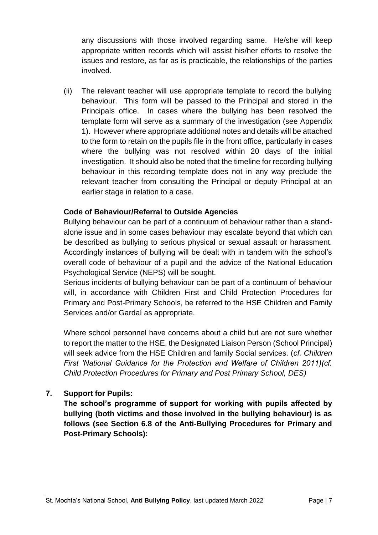any discussions with those involved regarding same. He/she will keep appropriate written records which will assist his/her efforts to resolve the issues and restore, as far as is practicable, the relationships of the parties involved.

(ii) The relevant teacher will use appropriate template to record the bullying behaviour. This form will be passed to the Principal and stored in the Principals office. In cases where the bullying has been resolved the template form will serve as a summary of the investigation (see Appendix 1). However where appropriate additional notes and details will be attached to the form to retain on the pupils file in the front office, particularly in cases where the bullying was not resolved within 20 days of the initial investigation. It should also be noted that the timeline for recording bullying behaviour in this recording template does not in any way preclude the relevant teacher from consulting the Principal or deputy Principal at an earlier stage in relation to a case.

# **Code of Behaviour/Referral to Outside Agencies**

Bullying behaviour can be part of a continuum of behaviour rather than a standalone issue and in some cases behaviour may escalate beyond that which can be described as bullying to serious physical or sexual assault or harassment. Accordingly instances of bullying will be dealt with in tandem with the school's overall code of behaviour of a pupil and the advice of the National Education Psychological Service (NEPS) will be sought.

Serious incidents of bullying behaviour can be part of a continuum of behaviour will, in accordance with Children First and Child Protection Procedures for Primary and Post-Primary Schools, be referred to the HSE Children and Family Services and/or Gardaí as appropriate.

Where school personnel have concerns about a child but are not sure whether to report the matter to the HSE, the Designated Liaison Person (School Principal) will seek advice from the HSE Children and family Social services. (*cf. Children First 'National Guidance for the Protection and Welfare of Children 2011)(cf. Child Protection Procedures for Primary and Post Primary School, DES)*

### **7. Support for Pupils:**

**The school's programme of support for working with pupils affected by bullying (both victims and those involved in the bullying behaviour) is as follows (see Section 6.8 of the Anti-Bullying Procedures for Primary and Post-Primary Schools):**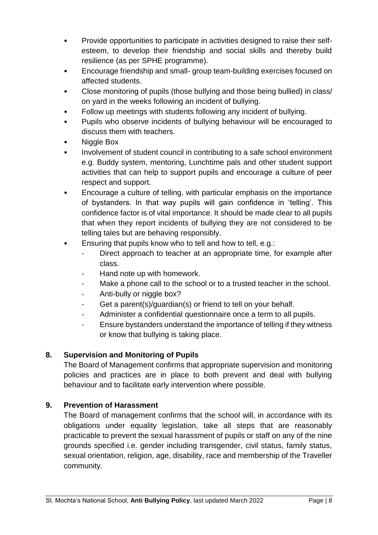- Provide opportunities to participate in activities designed to raise their selfesteem, to develop their friendship and social skills and thereby build resilience (as per SPHE programme).
- Encourage friendship and small- group team-building exercises focused on affected students.
- Close monitoring of pupils (those bullying and those being bullied) in class/ on yard in the weeks following an incident of bullying.
- Follow up meetings with students following any incident of bullying.
- Pupils who observe incidents of bullying behaviour will be encouraged to discuss them with teachers.
- Niggle Box
- Involvement of student council in contributing to a safe school environment e.g. Buddy system, mentoring, Lunchtime pals and other student support activities that can help to support pupils and encourage a culture of peer respect and support.
- Encourage a culture of telling, with particular emphasis on the importance of bystanders. In that way pupils will gain confidence in 'telling'. This confidence factor is of vital importance. It should be made clear to all pupils that when they report incidents of bullying they are not considered to be telling tales but are behaving responsibly.
- Ensuring that pupils know who to tell and how to tell, e.g.:
	- Direct approach to teacher at an appropriate time, for example after class.
	- Hand note up with homework.
	- Make a phone call to the school or to a trusted teacher in the school.
	- Anti-bully or niggle box?
	- Get a parent(s)/guardian(s) or friend to tell on your behalf.
	- Administer a confidential questionnaire once a term to all pupils.
	- Ensure bystanders understand the importance of telling if they witness or know that bullying is taking place.

# **8. Supervision and Monitoring of Pupils**

The Board of Management confirms that appropriate supervision and monitoring policies and practices are in place to both prevent and deal with bullying behaviour and to facilitate early intervention where possible.

# **9. Prevention of Harassment**

The Board of management confirms that the school will, in accordance with its obligations under equality legislation, take all steps that are reasonably practicable to prevent the sexual harassment of pupils or staff on any of the nine grounds specified i.e. gender including transgender, civil status, family status, sexual orientation, religion, age, disability, race and membership of the Traveller community.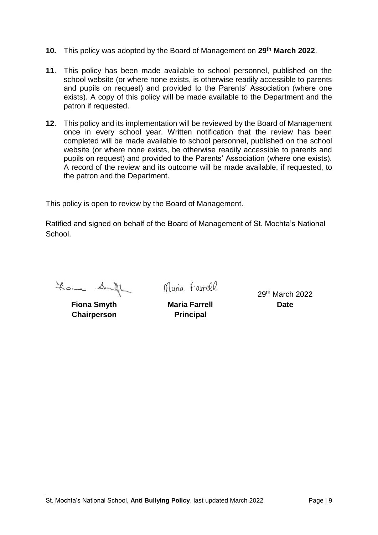- **10.** This policy was adopted by the Board of Management on **29th March 2022**.
- **11**. This policy has been made available to school personnel, published on the school website (or where none exists, is otherwise readily accessible to parents and pupils on request) and provided to the Parents' Association (where one exists). A copy of this policy will be made available to the Department and the patron if requested.
- **12**. This policy and its implementation will be reviewed by the Board of Management once in every school year. Written notification that the review has been completed will be made available to school personnel, published on the school website (or where none exists, be otherwise readily accessible to parents and pupils on request) and provided to the Parents' Association (where one exists). A record of the review and its outcome will be made available, if requested, to the patron and the Department.

This policy is open to review by the Board of Management.

Ratified and signed on behalf of the Board of Management of St. Mochta's National **School** 

Loma Smith

**Fiona Smyth Maria Farrell Date Chairperson Principal**

Maria Farrell

29th March 2022